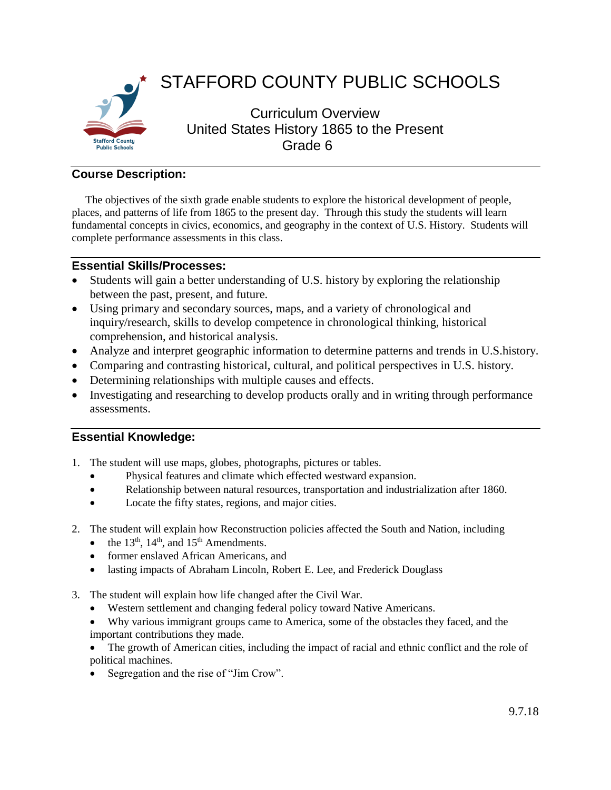

## **Course Description:**

The objectives of the sixth grade enable students to explore the historical development of people, places, and patterns of life from 1865 to the present day. Through this study the students will learn fundamental concepts in civics, economics, and geography in the context of U.S. History. Students will complete performance assessments in this class.

## **Essential Skills/Processes:**

- Students will gain a better understanding of U.S. history by exploring the relationship between the past, present, and future.
- Using primary and secondary sources, maps, and a variety of chronological and inquiry/research, skills to develop competence in chronological thinking, historical comprehension, and historical analysis.
- Analyze and interpret geographic information to determine patterns and trends in U.S.history.
- Comparing and contrasting historical, cultural, and political perspectives in U.S. history.
- Determining relationships with multiple causes and effects.
- Investigating and researching to develop products orally and in writing through performance assessments.

## **Essential Knowledge:**

- 1. The student will use maps, globes, photographs, pictures or tables.
	- Physical features and climate which effected westward expansion.
	- Relationship between natural resources, transportation and industrialization after 1860.
	- Locate the fifty states, regions, and major cities.
- 2. The student will explain how Reconstruction policies affected the South and Nation, including
	- the  $13<sup>th</sup>$ ,  $14<sup>th</sup>$ , and  $15<sup>th</sup>$  Amendments.
	- former enslaved African Americans, and
	- lasting impacts of Abraham Lincoln, Robert E. Lee, and Frederick Douglass
- 3. The student will explain how life changed after the Civil War.
	- Western settlement and changing federal policy toward Native Americans.
	- Why various immigrant groups came to America, some of the obstacles they faced, and the important contributions they made.
	- The growth of American cities, including the impact of racial and ethnic conflict and the role of political machines.
	- Segregation and the rise of "Jim Crow".